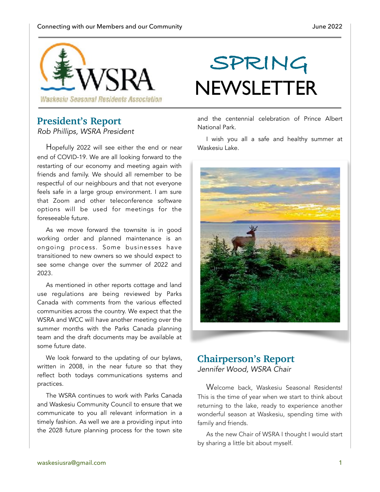

### **President's Report**

*Rob Phillips, WSRA President* 

Hopefully 2022 will see either the end or near end of COVID-19. We are all looking forward to the restarting of our economy and meeting again with friends and family. We should all remember to be respectful of our neighbours and that not everyone feels safe in a large group environment. I am sure that Zoom and other teleconference software options will be used for meetings for the foreseeable future.

As we move forward the townsite is in good working order and planned maintenance is an ongoing process. Some businesses have transitioned to new owners so we should expect to see some change over the summer of 2022 and 2023.

As mentioned in other reports cottage and land use regulations are being reviewed by Parks Canada with comments from the various effected communities across the country. We expect that the WSRA and WCC will have another meeting over the summer months with the Parks Canada planning team and the draft documents may be available at some future date.

We look forward to the updating of our bylaws, written in 2008, in the near future so that they reflect both todays communications systems and practices.

The WSRA continues to work with Parks Canada and Waskesiu Community Council to ensure that we communicate to you all relevant information in a timely fashion. As well we are a providing input into the 2028 future planning process for the town site

# **SPRING NEWSLETTER**

and the centennial celebration of Prince Albert National Park.

I wish you all a safe and healthy summer at Waskesiu Lake.



### **Chairperson's Report** *Jennifer Wood, WSRA Chair*

Welcome back, Waskesiu Seasonal Residents! This is the time of year when we start to think about returning to the lake, ready to experience another wonderful season at Waskesiu, spending time with family and friends.

As the new Chair of WSRA I thought I would start by sharing a little bit about myself.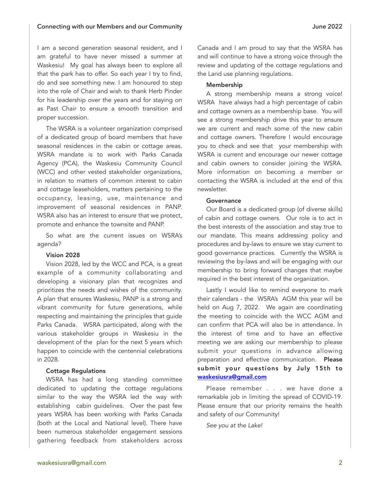I am a second generation seasonal resident, and I am grateful to have never missed a summer at Waskesiu! My goal has always been to explore all that the park has to offer. So each year I try to find, do and see something new. I am honoured to step into the role of Chair and wish to thank Herb Pinder for his leadership over the years and for staying on as Past Chair to ensure a smooth transition and proper succession.

The WSRA is a volunteer organization comprised of a dedicated group of board members that have seasonal residences in the cabin or cottage areas. WSRA mandate is to work with Parks Canada Agency (PCA), the Waskesiu Community Council (WCC) and other vested stakeholder organizations, in relation to matters of common interest to cabin and cottage leaseholders, matters pertaining to the occupancy, leasing, use, maintenance and improvement of seasonal residences in PANP. WSRA also has an interest to ensure that we protect, promote and enhance the townsite and PANP.

So what are the current issues on WSRA's agenda?

#### Vision 2028

Vision 2028, led by the WCC and PCA, is a great example of a community collaborating and developing a visionary plan that recognizes and prioritizes the needs and wishes of the community. A plan that ensures Waskesiu, PANP is a strong and vibrant community for future generations, while respecting and maintaining the principles that guide Parks Canada. WSRA participated, along with the various stakeholder groups in Waskesiu in the development of the plan for the next 5 years which happen to coincide with the centennial celebrations in 2028.

#### Cottage Regulations

WSRA has had a long standing committee dedicated to updating the cottage regulations similar to the way the WSRA led the way with establishing cabin guidelines. Over the past few years WSRA has been working with Parks Canada (both at the Local and National level). There have been numerous stakeholder engagement sessions gathering feedback from stakeholders across

Canada and I am proud to say that the WSRA has and will continue to have a strong voice through the review and updating of the cottage regulations and the Land use planning regulations.

#### Membership

A strong membership means a strong voice! WSRA have always had a high percentage of cabin and cottage owners as a membership base. You will see a strong membership drive this year to ensure we are current and reach some of the new cabin and cottage owners. Therefore I would encourage you to check and see that your membership with WSRA is current and encourage our newer cottage and cabin owners to consider joining the WSRA. More information on becoming a member or contacting the WSRA is included at the end of this newsletter.

#### Governance

Our Board is a dedicated group (of diverse skills) of cabin and cottage owners. Our role is to act in the best interests of the association and stay true to our mandate. This means addressing policy and procedures and by-laws to ensure we stay current to good governance practices. Currently the WSRA is reviewing the by-laws and will be engaging with our membership to bring forward changes that maybe required in the best interest of the organization.

Lastly I would like to remind everyone to mark their calendars - the WSRA's AGM this year will be held on Aug 7, 2022. We again are coordinating the meeting to coincide with the WCC AGM and can confirm that PCA will also be in attendance. In the interest of time and to have an effective meeting we are asking our membership to please submit your questions in advance allowing preparation and effective communication. Please submit your questions by July 15th to [waskesiusra@gmail.com](mailto:waskesiusra@gmail.com)

Please remember . . . we have done a remarkable job in limiting the spread of COVID-19. Please ensure that our priority remains the health and safety of our Community!

*See you at the Lake!*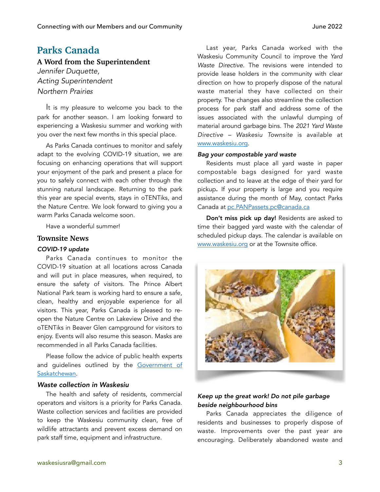### **Parks Canada**

**A Word from the Superintendent**

*Jennifer Duquette, Acting Superintendent Northern Prairies*

It is my pleasure to welcome you back to the park for another season. I am looking forward to experiencing a Waskesiu summer and working with you over the next few months in this special place.

As Parks Canada continues to monitor and safely adapt to the evolving COVID-19 situation, we are focusing on enhancing operations that will support your enjoyment of the park and present a place for you to safely connect with each other through the stunning natural landscape. Returning to the park this year are special events, stays in oTENTiks, and the Nature Centre. We look forward to giving you a warm Parks Canada welcome soon.

Have a wonderful summer!

### **Townsite News**

### *COVID-19 update*

Parks Canada continues to monitor the COVID-19 situation at all locations across Canada and will put in place measures, when required, to ensure the safety of visitors. The Prince Albert National Park team is working hard to ensure a safe, clean, healthy and enjoyable experience for all visitors. This year, Parks Canada is pleased to reopen the Nature Centre on Lakeview Drive and the oTENTiks in Beaver Glen campground for visitors to enjoy. Events will also resume this season. Masks are recommended in all Parks Canada facilities.

Please follow the advice of public health experts and guidelines outlined by the Government of [Saskatchewan](https://www.saskatchewan.ca/government/health-care-administration-and-provider-resources/treatment-procedures-and-guidelines/emerging-public-health-issues/2019-novel-coronavirus).

### *Waste collection in Waskesiu*

The health and safety of residents, commercial operators and visitors is a priority for Parks Canada. Waste collection services and facilities are provided to keep the Waskesiu community clean, free of wildlife attractants and prevent excess demand on park staff time, equipment and infrastructure.

Last year, Parks Canada worked with the Waskesiu Community Council to improve the *Yard Waste Directive*. The revisions were intended to provide lease holders in the community with clear direction on how to properly dispose of the natural waste material they have collected on their property. The changes also streamline the collection process for park staff and address some of the issues associated with the unlawful dumping of material around garbage bins. The *2021 Yard Waste Directive – Waskesiu Townsite* is available at [www.waskesiu.org](http://www.waskesiu.org).

#### *Bag your compostable yard waste*

Residents must place all yard waste in paper compostable bags designed for yard waste collection and to leave at the edge of their yard for pickup. If your property is large and you require assistance during the month of May, contact Parks Canada at [pc.PANPassets.pc@canada.ca](mailto:pc.PANPassets.pc@canada.ca)

Don't miss pick up day! Residents are asked to time their bagged yard waste with the calendar of scheduled pickup days. The calendar is available on [www.waskesiu.org](http://www.waskesiu.org) or at the Townsite office.



### *Keep up the great work! Do not pile garbage beside neighbourhood bins*

Parks Canada appreciates the diligence of residents and businesses to properly dispose of waste. Improvements over the past year are encouraging. Deliberately abandoned waste and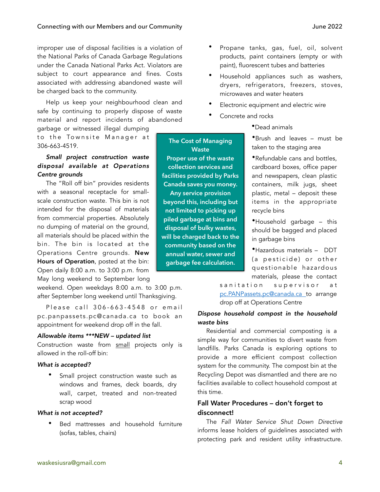improper use of disposal facilities is a violation of the National Parks of Canada Garbage Regulations under the Canada National Parks Act. Violators are subject to court appearance and fines. Costs associated with addressing abandoned waste will be charged back to the community.

Help us keep your neighbourhood clean and safe by continuing to properly dispose of waste material and report incidents of abandoned garbage or witnessed illegal dumping

to the Townsite Manager at 306-663-4519.

### *Small project construction waste disposal available at Operations Centre grounds*

The "Roll off bin" provides residents with a seasonal receptacle for smallscale construction waste. This bin is not intended for the disposal of materials from commercial properties. Absolutely no dumping of material on the ground, all materials should be placed within the bin. The bin is located at the Operations Centre grounds. New Hours of Operation, posted at the bin: Open daily 8:00 a.m. to 3:00 p.m. from May long weekend to September long

weekend. Open weekdays 8:00 a.m. to 3:00 p.m. after September long weekend until Thanksgiving.

Please call 306-663-4548 or email [pc.panpassets.pc@canada.ca](mailto:pc.panpassets.pc@canada.ca) to book an appointment for weekend drop off in the fall.

### *Allowable items \*\*\*NEW – updated list*

Construction waste from small projects only is allowed in the roll-off bin:

### *What is accepted?*

Small project construction waste such as windows and frames, deck boards, dry wall, carpet, treated and non-treated scrap wood

### *What is not accepted?*

Bed mattresses and household furniture (sofas, tables, chairs)

- Propane tanks, gas, fuel, oil, solvent products, paint containers (empty or with paint), fluorescent tubes and batteries
- Household appliances such as washers, dryers, refrigerators, freezers, stoves, microwaves and water heaters
- Electronic equipment and electric wire
- Concrete and rocks

**The Cost of Managing Waste Proper use of the waste collection services and facilities provided by Parks Canada saves you money. Any service provision beyond this, including but not limited to picking up piled garbage at bins and disposal of bulky wastes, will be charged back to the community based on the annual water, sewer and garbage fee calculation.**

•Dead animals

•Brush and leaves – must be taken to the staging area

•Refundable cans and bottles, cardboard boxes, office paper and newspapers, clean plastic containers, milk jugs, sheet plastic, metal – deposit these items in the appropriate recycle bins

•Household garbage – this should be bagged and placed in garbage bins

•Hazardous materials – DDT (a pesticide) or other questionable hazardous materials, please the contact

sanitation supervisor at [pc.PANPassets.pc@canada.ca](mailto:pc.PANPassets.pc@canada.ca) to arrange drop off at Operations Centre

### *Dispose household compost in the household waste bins*

Residential and commercial composting is a simple way for communities to divert waste from landfills. Parks Canada is exploring options to provide a more efficient compost collection system for the community. The compost bin at the Recycling Depot was dismantled and there are no facilities available to collect household compost at this time.

### Fall Water Procedures – don't forget to disconnect!

The *Fall Water Service Shut Down Directive*  informs lease holders of guidelines associated with protecting park and resident utility infrastructure.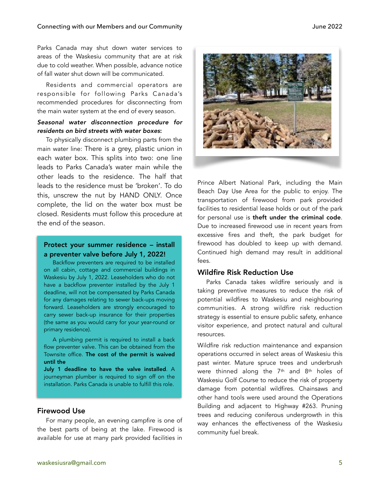### Connecting with our Members and our Community **Server and Server 2022**

Parks Canada may shut down water services to areas of the Waskesiu community that are at risk due to cold weather. When possible, advance notice of fall water shut down will be communicated.

Residents and commercial operators are responsible for following Parks Canada's recommended procedures for disconnecting from the main water system at the end of every season.

### *Seasonal water disconnection procedure for residents on bird streets with water boxes*:

To physically disconnect plumbing parts from the main water line: There is a grey, plastic union in each water box. This splits into two: one line leads to Parks Canada's water main while the other leads to the residence. The half that leads to the residence must be 'broken'. To do this, unscrew the nut by HAND ONLY. Once complete, the lid on the water box must be closed. Residents must follow this procedure at the end of the season.

### Protect your summer residence – install a preventer valve before July 1, 2022!

Backflow preventers are required to be installed on all cabin, cottage and commercial buildings in Waskesiu by July 1, 2022. Leaseholders who do not have a backflow preventer installed by the July 1 deadline, will not be compensated by Parks Canada for any damages relating to sewer back-ups moving forward. Leaseholders are strongly encouraged to carry sewer back-up insurance for their properties (the same as you would carry for your year-round or primary residence).

A plumbing permit is required to install a back flow preventer valve. This can be obtained from the Townsite office. The cost of the permit is waived until the

July 1 deadline to have the valve installed. A journeyman plumber is required to sign off on the installation. Parks Canada is unable to fulfill this role.

### Firewood Use

For many people, an evening campfire is one of the best parts of being at the lake. Firewood is available for use at many park provided facilities in



Prince Albert National Park, including the Main Beach Day Use Area for the public to enjoy. The transportation of firewood from park provided facilities to residential lease holds or out of the park for personal use is theft under the criminal code. Due to increased firewood use in recent years from excessive fires and theft, the park budget for firewood has doubled to keep up with demand. Continued high demand may result in additional fees.

### Wildfire Risk Reduction Use

Parks Canada takes wildfire seriously and is taking preventive measures to reduce the risk of potential wildfires to Waskesiu and neighbouring communities. A strong wildfire risk reduction strategy is essential to ensure public safety, enhance visitor experience, and protect natural and cultural resources.

Wildfire risk reduction maintenance and expansion operations occurred in select areas of Waskesiu this past winter. Mature spruce trees and underbrush were thinned along the  $7<sup>th</sup>$  and  $8<sup>th</sup>$  holes of Waskesiu Golf Course to reduce the risk of property damage from potential wildfires. Chainsaws and other hand tools were used around the Operations Building and adjacent to Highway #263. Pruning trees and reducing coniferous undergrowth in this way enhances the effectiveness of the Waskesiu community fuel break.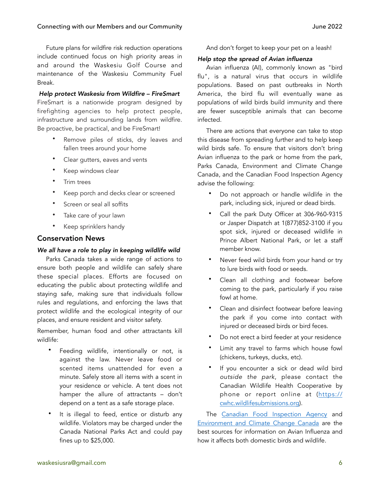Future plans for wildfire risk reduction operations include continued focus on high priority areas in and around the Waskesiu Golf Course and maintenance of the Waskesiu Community Fuel Break.

*Help protect Waskesiu from Wildfire – FireSmart*  FireSmart is a nationwide program designed by firefighting agencies to help protect people, infrastructure and surrounding lands from wildfire. Be proactive, be practical, and be FireSmart!

- Remove piles of sticks, dry leaves and fallen trees around your home
- Clear gutters, eaves and vents
- Keep windows clear
- Trim trees
- Keep porch and decks clear or screened
- Screen or seal all soffits
- Take care of your lawn
- Keep sprinklers handy

### Conservation News

### *We all have a role to play in keeping wildlife wild*

Parks Canada takes a wide range of actions to ensure both people and wildlife can safely share these special places. Efforts are focused on educating the public about protecting wildlife and staying safe, making sure that individuals follow rules and regulations, and enforcing the laws that protect wildlife and the ecological integrity of our places, and ensure resident and visitor safety.

Remember, human food and other attractants kill wildlife:

- Feeding wildlife, intentionally or not, is against the law. Never leave food or scented items unattended for even a minute. Safely store all items with a scent in your residence or vehicle. A tent does not hamper the allure of attractants – don't depend on a tent as a safe storage place.
- It is illegal to feed, entice or disturb any wildlife. Violators may be charged under the Canada National Parks Act and could pay fines up to \$25,000.

And don't forget to keep your pet on a leash!

### *Help stop the spread of Avian influenza*

Avian influenza (AI), commonly known as "bird flu", is a natural virus that occurs in wildlife populations. Based on past outbreaks in North America, the bird flu will eventually wane as populations of wild birds build immunity and there are fewer susceptible animals that can become infected.

There are actions that everyone can take to stop this disease from spreading further and to help keep wild birds safe. To ensure that visitors don't bring Avian influenza to the park or home from the park, Parks Canada, Environment and Climate Change Canada, and the Canadian Food Inspection Agency advise the following:

- Do not approach or handle wildlife in the park, including sick, injured or dead birds.
- Call the park Duty Officer at 306-960-9315 or Jasper Dispatch at 1(877)852-3100 if you spot sick, injured or deceased wildlife in Prince Albert National Park, or let a staff member know.
- Never feed wild birds from your hand or try to lure birds with food or seeds.
- Clean all clothing and footwear before coming to the park, particularly if you raise fowl at home.
- Clean and disinfect footwear before leaving the park if you come into contact with injured or deceased birds or bird feces.
- Do not erect a bird feeder at your residence
- Limit any travel to farms which house fowl (chickens, turkeys, ducks, etc).
- If you encounter a sick or dead wild bird *outside the park*, please contact the Canadian Wildlife Health Cooperative by phone or report online at ([https://](https://cwhc.wildlifesubmissions.org) [cwhc.wildlifesubmissions.org](https://cwhc.wildlifesubmissions.org)).

The [Canadian Food Inspection Agency](https://can01.safelinks.protection.outlook.com/?url=https://inspection.canada.ca/animal-health/terrestrial-animals/diseases/reportable/avian-influenza/eng/1323990856863/1323991018946&data=04%257C01%257Cbronwyn.craig@pc.gc.ca%257Cede5f05ee3eb4be6ffbf08da1e1d5a4d%257C6f45dd51039e4566bcc55b700537cb87%257C0%257C0%257C637855408653258881%257CUnknown%257CTWFpbGZsb3d8eyJWIjoiMC4wLjAwMDAiLCJQIjoiV2luMzIiLCJBTiI6Ik1haWwiLCJXVCI6Mn0=%257C3000&sdata=Kc6ymPwbtgr53ic4ibQCIzzsaKfESZGAbxMj7XNe8KA=&reserved=0) and [Environment and Climate Change Canada](https://can01.safelinks.protection.outlook.com/?url=https://www.canada.ca/en/environment-climate-change/services/migratory-game-bird-hunting/avian-influenza-wild-birds.html&data=04%257C01%257Cbronwyn.craig@pc.gc.ca%257Cede5f05ee3eb4be6ffbf08da1e1d5a4d%257C6f45dd51039e4566bcc55b700537cb87%257C0%257C0%257C637855408653258881%257CUnknown%257CTWFpbGZsb3d8eyJWIjoiMC4wLjAwMDAiLCJQIjoiV2luMzIiLCJBTiI6Ik1haWwiLCJXVCI6Mn0=%257C3000&sdata=QE2S5TqjetJmp7gocmgk6aDKqNlLmpYbh9WqHr08EYQ=&reserved=0) are the best sources for information on Avian Influenza and how it affects both domestic birds and wildlife.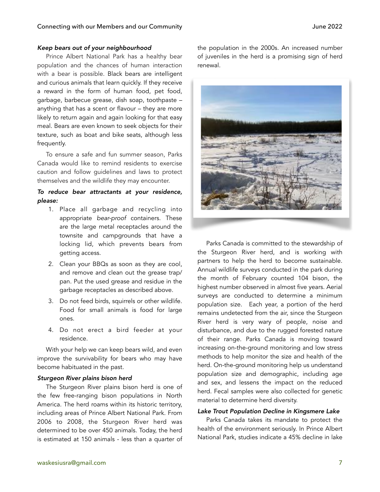### *Keep bears out of your neighbourhood*

Prince Albert National Park has a healthy bear population and the chances of human interaction with a bear is possible. Black bears are intelligent and curious animals that learn quickly. If they receive a reward in the form of human food, pet food, garbage, barbecue grease, dish soap, toothpaste – anything that has a scent or flavour – they are more likely to return again and again looking for that easy meal. Bears are even known to seek objects for their texture, such as boat and bike seats, although less frequently.

To ensure a safe and fun summer season, Parks Canada would like to remind residents to exercise caution and follow guidelines and laws to protect themselves and the wildlife they may encounter.

### *To reduce bear attractants at your residence, please:*

- 1. Place all garbage and recycling into appropriate *bear-proof* containers. These are the large metal receptacles around the townsite and campgrounds that have a locking lid, which prevents bears from getting access.
- 2. Clean your BBQs as soon as they are cool, and remove and clean out the grease trap/ pan. Put the used grease and residue in the garbage receptacles as described above.
- 3. Do not feed birds, squirrels or other wildlife. Food for small animals is food for large ones.
- 4. Do not erect a bird feeder at your residence.

With your help we can keep bears wild, and even improve the survivability for bears who may have become habituated in the past.

#### *Sturgeon River plains bison herd*

The Sturgeon River plains bison herd is one of the few free-ranging bison populations in North America. The herd roams within its historic territory, including areas of Prince Albert National Park. From 2006 to 2008, the Sturgeon River herd was determined to be over 450 animals. Today, the herd is estimated at 150 animals - less than a quarter of the population in the 2000s. An increased number of juveniles in the herd is a promising sign of herd renewal.



Parks Canada is committed to the stewardship of the Sturgeon River herd, and is working with partners to help the herd to become sustainable. Annual wildlife surveys conducted in the park during the month of February counted 104 bison, the highest number observed in almost five years. Aerial surveys are conducted to determine a minimum population size. Each year, a portion of the herd remains undetected from the air, since the Sturgeon River herd is very wary of people, noise and disturbance, and due to the rugged forested nature of their range. Parks Canada is moving toward increasing on-the-ground monitoring and low stress methods to help monitor the size and health of the herd. On-the-ground monitoring help us understand population size and demographic, including age and sex, and lessens the impact on the reduced herd. Fecal samples were also collected for genetic material to determine herd diversity.

### *Lake Trout Population Decline in Kingsmere Lake*

Parks Canada takes its mandate to protect the health of the environment seriously. In Prince Albert National Park, studies indicate a 45% decline in lake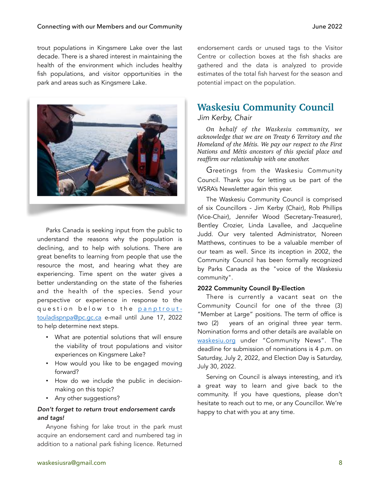trout populations in Kingsmere Lake over the last decade. There is a shared interest in maintaining the health of the environment which includes healthy fish populations, and visitor opportunities in the park and areas such as Kingsmere Lake.



Parks Canada is seeking input from the public to understand the reasons why the population is declining, and to help with solutions. There are great benefits to learning from people that use the resource the most, and hearing what they are experiencing. Time spent on the water gives a better understanding on the state of the fisheries and the health of the species. Send your perspective or experience in response to the question below to the [panptrout](mailto:panptrout-touladispnpa@pc.gc.ca)[touladispnpa@pc.gc.ca](mailto:panptrout-touladispnpa@pc.gc.ca) e-mail until June 17, 2022 to help determine next steps.

- What are potential solutions that will ensure the viability of trout populations and visitor experiences on Kingsmere Lake?
- How would you like to be engaged moving forward?
- How do we include the public in decisionmaking on this topic?
- Any other suggestions?

### *Don't forget to return trout endorsement cards and tags!*

Anyone fishing for lake trout in the park must acquire an endorsement card and numbered tag in addition to a national park fishing licence. Returned

endorsement cards or unused tags to the Visitor Centre or collection boxes at the fish shacks are gathered and the data is analyzed to provide estimates of the total fish harvest for the season and potential impact on the population.

### **Waskesiu Community Council**

### *Jim Kerby, Chair*

*On behalf of the Waskesiu community, we acknowledge that we are on Treaty 6 Territory and the Homeland of the Métis. We pay our respect to the First Nations and Métis ancestors of this special place and reaffirm our relationship with one another.* 

Greetings from the Waskesiu Community Council. Thank you for letting us be part of the WSRA's Newsletter again this year.

The Waskesiu Community Council is comprised of six Councillors - Jim Kerby (Chair), Rob Phillips (Vice-Chair), Jennifer Wood (Secretary-Treasurer), Bentley Crozier, Linda Lavallee, and Jacqueline Judd. Our very talented Administrator, Noreen Matthews, continues to be a valuable member of our team as well. Since its inception in 2002, the Community Council has been formally recognized by Parks Canada as the "voice of the Waskesiu community".

### 2022 Community Council By-Election

There is currently a vacant seat on the Community Council for one of the three (3) "Member at Large" positions. The term of office is two (2) years of an original three year term. Nomination forms and other details are available on [waskesiu.org](http://waskesiu.org) under "Community News". The deadline for submission of nominations is 4 p.m. on Saturday, July 2, 2022, and Election Day is Saturday, July 30, 2022.

Serving on Council is always interesting, and it's a great way to learn and give back to the community. If you have questions, please don't hesitate to reach out to me, or any Councillor. We're happy to chat with you at any time.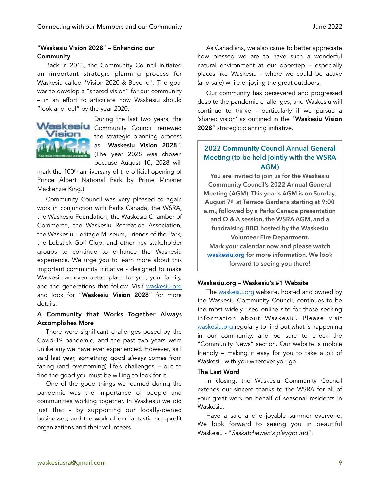### "Waskesiu Vision 2028" – Enhancing our **Community**

Back in 2013, the Community Council initiated an important strategic planning process for Waskesiu called "Vision 2020 & Beyond". The goal was to develop a "shared vision" for our community – in an effort to articulate how Waskesiu should "look and feel" by the year 2020.



During the last two years, the Waskesiu Community Council renewed the strategic planning process as "Waskesiu Vision 2028". (The year 2028 was chosen because August 10, 2028 will

mark the 100th anniversary of the official opening of Prince Albert National Park by Prime Minister Mackenzie King.)

Community Council was very pleased to again work in conjunction with Parks Canada, the WSRA, the Waskesiu Foundation, the Waskesiu Chamber of Commerce, the Waskesiu Recreation Association, the Waskesiu Heritage Museum, Friends of the Park, the Lobstick Golf Club, and other key stakeholder groups to continue to enhance the Waskesiu experience. We urge you to learn more about this important community initiative - designed to make Waskesiu an even better place for you, your family, and the generations that follow. Visit [waskesiu.org](http://waskesiu.org) and look for "Waskesiu Vision 2028" for more details.

### A Community that Works Together Always Accomplishes More

There were significant challenges posed by the Covid-19 pandemic, and the past two years were unlike any we have ever experienced. However, as I said last year, something good *always* comes from facing (and overcoming) life's challenges – but to find the good you must be willing to look for it.

One of the good things we learned during the pandemic was the importance of people and communities working together. In Waskesiu we did just that - by supporting our locally-owned businesses, and the work of our fantastic non-profit organizations and their volunteers.

As Canadians, we also came to better appreciate how blessed we are to have such a wonderful natural environment at our doorstep – especially places like Waskesiu - where we could be active (and safe) while enjoying the great outdoors.

Our community has persevered and progressed despite the pandemic challenges, and Waskesiu will continue to thrive - particularly if we pursue a 'shared vision' as outlined in the "Waskesiu Vision 2028" strategic planning initiative.

### **2022 Community Council Annual General Meeting (to be held jointly with the WSRA AGM)**

**You are invited to join us for the Waskesiu Community Council's 2022 Annual General Meeting (AGM). This year's AGM is on Sunday, August 7th at Terrace Gardens starting at 9:00 a.m., followed by a Parks Canada presentation and Q & A session, the WSRA AGM, and a fundraising BBQ hosted by the Waskesiu Volunteer Fire Department. Mark your calendar now and please watch [waskesiu.org](http://waskesiu.org) for more information. We look forward to seeing you there!** 

### Waskesiu.org – Waskesiu's #1 Website

The [waskesiu.org](http://waskesiu.org) website, hosted and owned by the Waskesiu Community Council, continues to be the most widely used online site for those seeking information about Waskesiu. Please visit [waskesiu.org](http://waskesiu.org) regularly to find out what is happening in our community, and be sure to check the "Community News" section. Our website is mobile friendly – making it easy for you to take a bit of Waskesiu with you wherever you go.

### The Last Word

In closing, the Waskesiu Community Council extends our sincere thanks to the WSRA for all of your great work on behalf of seasonal residents in Waskesiu.

Have a safe and enjoyable summer everyone. We look forward to seeing you in beautiful Waskesiu - "*Saskatchewan's playground*"!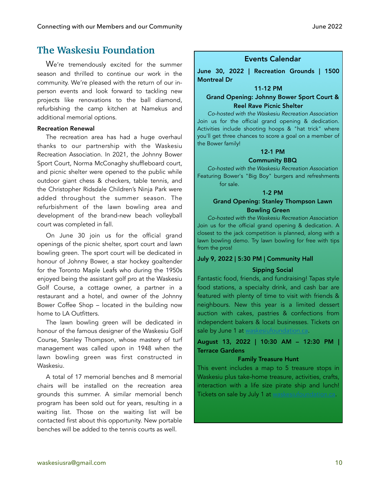### **The Waskesiu Foundation**

We're tremendously excited for the summer season and thrilled to continue our work in the community. We're pleased with the return of our inperson events and look forward to tackling new projects like renovations to the ball diamond, refurbishing the camp kitchen at Namekus and additional memorial options.

### Recreation Renewal

The recreation area has had a huge overhaul thanks to our partnership with the Waskesiu Recreation Association. In 2021, the Johnny Bower Sport Court, Norma McConaghy shuffleboard court, and picnic shelter were opened to the public while outdoor giant chess & checkers, table tennis, and the Christopher Ridsdale Children's Ninja Park were added throughout the summer season. The refurbishment of the lawn bowling area and development of the brand-new beach volleyball court was completed in fall.

On June 30 join us for the official grand openings of the picnic shelter, sport court and lawn bowling green. The sport court will be dedicated in honour of Johnny Bower, a star hockey goaltender for the Toronto Maple Leafs who during the 1950s enjoyed being the assistant golf pro at the Waskesiu Golf Course, a cottage owner, a partner in a restaurant and a hotel, and owner of the Johnny Bower Coffee Shop – located in the building now home to LA Outfitters.

The lawn bowling green will be dedicated in honour of the famous designer of the Waskesiu Golf Course, Stanley Thompson, whose mastery of turf management was called upon in 1948 when the lawn bowling green was first constructed in Waskesiu.

A total of 17 memorial benches and 8 memorial chairs will be installed on the recreation area grounds this summer. A similar memorial bench program has been sold out for years, resulting in a waiting list. Those on the waiting list will be contacted first about this opportunity. New portable benches will be added to the tennis courts as well.

### Events Calendar

June 30, 2022 | Recreation Grounds | 1500 Montreal Dr

### 11-12 PM

### Grand Opening: Johnny Bower Sport Court & Reel Rave Picnic Shelter

*Co-hosted with the Waskesiu Recreation Association*  Join us for the official grand opening & dedication. Activities include shooting hoops & "hat trick" where you'll get three chances to score a goal on a member of the Bower family!

### 12-1 PM

### Community BBQ

*Co-hosted with the Waskesiu Recreation Association*  Featuring Bower's "Big Boy" burgers and refreshments for sale.

### 1-2 PM

### Grand Opening: Stanley Thompson Lawn Bowling Green

*Co-hosted with the Waskesiu Recreation Association*  Join us for the official grand opening & dedication. A closest to the jack competition is planned, along with a lawn bowling demo. Try lawn bowling for free with tips from the pros!

### July 9, 2022 | 5:30 PM | Community Hall

### Sipping Social

Fantastic food, friends, and fundraising! Tapas style food stations, a specialty drink, and cash bar are featured with plenty of time to visit with friends & neighbours. New this year is a limited dessert auction with cakes, pastries & confections from independent bakers & local businesses. Tickets on sale by June 1 at v

August 13, 2022 | 10:30 AM – 12:30 PM | Terrace Gardens

### Family Treasure Hunt

This event includes a map to 5 treasure stops in Waskesiu plus take-home treasure, activities, crafts, interaction with a life size pirate ship and lunch! Tickets on sale by July 1 at [waskesiufoundation.ca](https://www.waskesiufoundation.ca/home.html).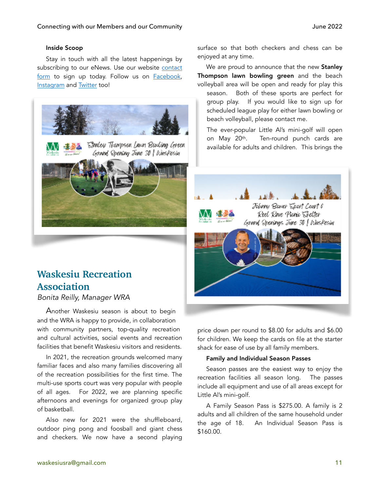### Inside Scoop

Stay in touch with all the latest happenings by subscribing to our eNews. Use our website [contact](https://www.waskesiufoundation.ca/contact.html)  [form](https://www.waskesiufoundation.ca/contact.html) to sign up today. Follow us on [Facebook,](https://www.facebook.com/WaskesiuFoundation/) [Instagram](https://www.instagram.com/waskesiufoundation/) and [Twitter](https://twitter.com/waskesiufound) too!



## **Waskesiu Recreation Association**

*Bonita Reilly, Manager WRA* 

Another Waskesiu season is about to begin and the WRA is happy to provide, in collaboration with community partners, top-quality recreation and cultural activities, social events and recreation facilities that benefit Waskesiu visitors and residents.

In 2021, the recreation grounds welcomed many familiar faces and also many families discovering all of the recreation possibilities for the first time. The multi-use sports court was very popular with people of all ages. For 2022, we are planning specific afternoons and evenings for organized group play of basketball.

Also new for 2021 were the shuffleboard, outdoor ping pong and foosball and giant chess and checkers. We now have a second playing

surface so that both checkers and chess can be enjoyed at any time.

We are proud to announce that the new **Stanley** Thompson lawn bowling green and the beach volleyball area will be open and ready for play this

season. Both of these sports are perfect for group play. If you would like to sign up for scheduled league play for either lawn bowling or beach volleyball, please contact me.

The ever-popular Little Al's mini-golf will open on May 20<sup>th</sup>. Ten-round punch cards are available for adults and children. This brings the



price down per round to \$8.00 for adults and \$6.00 for children. We keep the cards on file at the starter shack for ease of use by all family members.

### Family and Individual Season Passes

Season passes are the easiest way to enjoy the recreation facilities all season long. The passes include all equipment and use of all areas except for Little Al's mini-golf.

A Family Season Pass is \$275.00. A family is 2 adults and all children of the same household under the age of 18. An Individual Season Pass is \$160.00.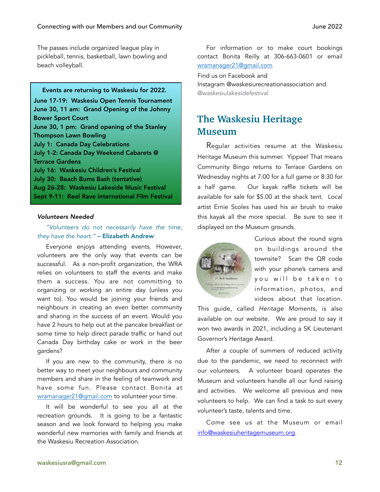The passes include organized league play in pickleball, tennis, basketball, lawn bowling and beach volleyball.

#### Events are returning to Waskesiu for 2022.

June 17-19: Waskesiu Open Tennis Tournament June 30, 11 am: Grand Opening of the Johnny Bower Sport Court June 30, 1 pm: Grand opening of the Stanley Thompson Lawn Bowling July 1: Canada Day Celebrations July 1-2: Canada Day Weekend Cabarets @ Terrace Gardens July 16: Waskesiu Children's Festival July 30: Beach Bums Bash (tentative) Aug 26-28: Waskesiu Lakeside Music Festival Sept 9-11: Reel Rave International Film Festival

#### *Volunteers Needed*

### *"Volunteers do not necessarily have the time; they have the heart."* – Elizabeth Andrew

Everyone enjoys attending events. However, volunteers are the only way that events can be successful. As a non-profit organization, the WRA relies on volunteers to staff the events and make them a success. You are not committing to organizing or working an entire day (unless you want to). You would be joining your friends and neighbours in creating an even better community and sharing in the success of an event. Would you have 2 hours to help out at the pancake breakfast or some time to help direct parade traffic or hand out Canada Day birthday cake or work in the beer gardens?

If you are new to the community, there is no better way to meet your neighbours and community members and share in the feeling of teamwork and have some fun. Please contact Bonita at [wramanager21@gmail.com](mailto:wramanager21@gmail.com) to volunteer your time.

It will be wonderful to see you all at the recreation grounds. It is going to be a fantastic season and we look forward to helping you make wonderful new memories with family and friends at the Waskesiu Recreation Association.

For information or to make court bookings contact Bonita Reilly at 306-663-0601 or email [wramanager21@gmail.com](mailto:wramanager21@gmail.com)

Find us on Facebook and Instagram @waskesiurecreationassociation and

@waskesiulakesidefestival

### **The Waskesiu Heritage Museum**

Regular activities resume at the Waskesiu Heritage Museum this summer. Yippee! That means Community Bingo returns to Terrace Gardens on Wednesday nights at 7:00 for a full game or 8:30 for a half game. Our kayak raffle tickets will be available for sale for \$5.00 at the shack tent. Local artist Ernie Scoles has used his air brush to make this kayak all the more special. Be sure to see it displayed on the Museum grounds.



Curious about the round signs on buildings around the townsite? Scan the QR code with your phone's camera and you will be taken to information, photos, and videos about that location.

This guide, called *Heritage Moments*, is also available on our website. We are proud to say it won two awards in 2021, including a SK Lieutenant Governor's Heritage Award.

After a couple of summers of reduced activity due to the pandemic, we need to reconnect with our volunteers. A volunteer board operates the Museum and volunteers handle all our fund raising and activities. We welcome all previous and new volunteers to help. We can find a task to suit every volunteer's taste, talents and time.

Come see us at the Museum or email [info@waskesiuheritagemuseum.org](mailto:info@waskesiuheritagemuseum.org).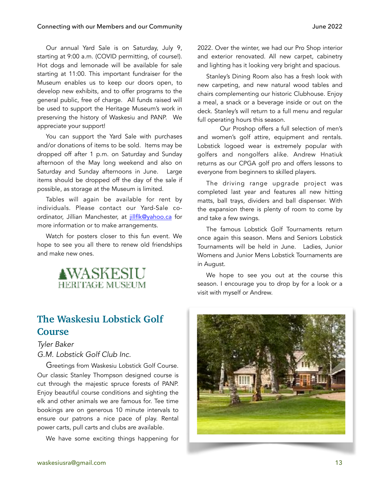Our annual Yard Sale is on Saturday, July 9, starting at 9:00 a.m. (COVID permitting, of course!). Hot dogs and lemonade will be available for sale starting at 11:00. This important fundraiser for the Museum enables us to keep our doors open, to develop new exhibits, and to offer programs to the general public, free of charge. All funds raised will be used to support the Heritage Museum's work in preserving the history of Waskesiu and PANP. We appreciate your support!

You can support the Yard Sale with purchases and/or donations of items to be sold. Items may be dropped off after 1 p.m. on Saturday and Sunday afternoon of the May long weekend and also on Saturday and Sunday afternoons in June. Large items should be dropped off the day of the sale if possible, as storage at the Museum is limited.

Tables will again be available for rent by individuals. Please contact our Yard-Sale coordinator, Jillian Manchester, at [jillflk@yahoo.ca](mailto:jillflk@yahoo.ca) for more information or to make arrangements.

Watch for posters closer to this fun event. We hope to see you all there to renew old friendships and make new ones.



### **The Waskesiu Lobstick Golf Course**

*Tyler Baker G.M. Lobstick Golf Club Inc.* 

Greetings from Waskesiu Lobstick Golf Course. Our classic Stanley Thompson designed course is cut through the majestic spruce forests of PANP. Enjoy beautiful course conditions and sighting the elk and other animals we are famous for. Tee time bookings are on generous 10 minute intervals to ensure our patrons a nice pace of play. Rental power carts, pull carts and clubs are available.

We have some exciting things happening for

2022. Over the winter, we had our Pro Shop interior and exterior renovated. All new carpet, cabinetry and lighting has it looking very bright and spacious.

Stanley's Dining Room also has a fresh look with new carpeting, and new natural wood tables and chairs complementing our historic Clubhouse. Enjoy a meal, a snack or a beverage inside or out on the deck. Stanley's will return to a full menu and regular full operating hours this season.

 Our Proshop offers a full selection of men's and women's golf attire, equipment and rentals. Lobstick logoed wear is extremely popular with golfers and nongolfers alike. Andrew Hnatiuk returns as our CPGA golf pro and offers lessons to everyone from beginners to skilled players.

The driving range upgrade project was completed last year and features all new hitting matts, ball trays, dividers and ball dispenser. With the expansion there is plenty of room to come by and take a few swings.

The famous Lobstick Golf Tournaments return once again this season. Mens and Seniors Lobstick Tournaments will be held in June. Ladies, Junior Womens and Junior Mens Lobstick Tournaments are in August.

We hope to see you out at the course this season. I encourage you to drop by for a look or a visit with myself or Andrew.

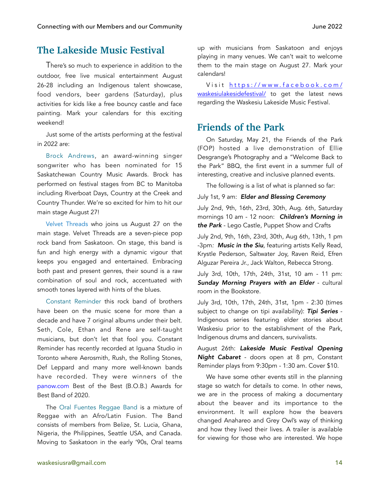### **The Lakeside Music Festival**

There's so much to experience in addition to the outdoor, free live musical entertainment August 26-28 including an Indigenous talent showcase, food vendors, beer gardens (Saturday), plus activities for kids like a free bouncy castle and face painting. Mark your calendars for this exciting weekend!

Just some of the artists performing at the festival in 2022 are:

Brock Andrews, an award-winning singer songwriter who has been nominated for 15 Saskatchewan Country Music Awards. Brock has performed on festival stages from BC to Manitoba including Riverboat Days, Country at the Creek and Country Thunder. We're so excited for him to hit our main stage August 27!

[Velvet Threads](https://www.facebook.com/velvetthreads/?__cft__%255B0%255D=AZU4YGes4h29agC1QaZ8l_WVyr9LW2ToBLXwpFm8CHcVIwwtjB_sF81lF6KLawLEVyV0F9Kdg4UZGkgfOblawUTfhGkUh8DRQCGm9V1GaoKy3qZkFinwzfP9Q-zDwV48Dr8QdWK1IKv8pIyB6kYdkkUL21qupGuyOdSlVaWrsk-cl6mTsVns-nC8Y1kUlXzTIaU&__tn__=kK-R) who joins us August 27 on the main stage. Velvet Threads are a seven-piece pop rock band from Saskatoon. On stage, this band is fun and high energy with a dynamic vigour that keeps you engaged and entertained. Embracing both past and present genres, their sound is a raw combination of soul and rock, accentuated with smooth tones layered with hints of the blues.

[Constant Reminder](https://www.facebook.com/ConstantReminder1?__cft__%255B0%255D=AZWnON9BdzxlEn34yg0rxqQ4nLxXSekFoqMt4AAEbviXlvnnHJvDLhkY8jEPjkP_yfT6J9EMHx6BozTrNe67C9Sd5hPzMT1-nzGDiFNe-XeI7k5HDGp7XKcKI-ESZunpKzcAEGbl_F-kO91Z7wkW28aRa4V1NqNtiA_O73X63r6KBX3hsS6mpwN3I3o5JndHv0w&__tn__=-%255DK-R) this rock band of brothers have been on the music scene for more than a decade and have 7 original albums under their belt. Seth, Cole, Ethan and Rene are self-taught musicians, but don't let that fool you. Constant Reminder has recently recorded at Iguana Studio in Toronto where Aerosmith, Rush, the Rolling Stones, Def Leppard and many more well-known bands have recorded. They were winners of the [panow.com](https://www.facebook.com/princealbertnow?__cft__%255B0%255D=AZWnON9BdzxlEn34yg0rxqQ4nLxXSekFoqMt4AAEbviXlvnnHJvDLhkY8jEPjkP_yfT6J9EMHx6BozTrNe67C9Sd5hPzMT1-nzGDiFNe-XeI7k5HDGp7XKcKI-ESZunpKzcAEGbl_F-kO91Z7wkW28aRa4V1NqNtiA_O73X63r6KBX3hsS6mpwN3I3o5JndHv0w&__tn__=-%255DK-R) Best of the Best (B.O.B.) Awards for Best Band of 2020.

The Oral Fuentes Reggae Band is a mixture of Reggae with an Afro/Latin Fusion. The Band consists of members from Belize, St. Lucia, Ghana, Nigeria, the Philippines, Seattle USA, and Canada. Moving to Saskatoon in the early '90s, Oral teams

up with musicians from Saskatoon and enjoys playing in many venues. We can't wait to welcome them to the main stage on August 27. Mark your calendars!

Visit https://www.facebook.com/ [waskesiulakesidefestival/](https://www.facebook.com/waskesiulakesidefestival/) to get the latest news regarding the Waskesiu Lakeside Music Festival.

### **Friends of the Park**

On Saturday, May 21, the Friends of the Park (FOP) hosted a live demonstration of Ellie Desgrange's Photography and a "Welcome Back to the Park" BBQ, the first event in a summer full of interesting, creative and inclusive planned events.

The following is a list of what is planned so far:

### July 1st, 9 am: *Elder and Blessing Ceremony*

July 2nd, 9th, 16th, 23rd, 30th, Aug. 6th, Saturday mornings 10 am - 12 noon: *Children's Morning in the Park* - Lego Castle, Puppet Show and Crafts

July 2nd, 9th, 16th, 23rd, 30th, Aug 6th, 13th, 1 pm -3pm*: Music in the Siu,* featuring artists Kelly Read, Krystle Pederson, Saltwater Joy, Raven Reid, Efren Alguzar Pereira Jr., Jack Walton, Rebecca Strong.

July 3rd, 10th, 17th, 24th, 31st, 10 am - 11 pm: *Sunday Morning Prayers with an Elder* - cultural room in the Bookstore.

July 3rd, 10th, 17th, 24th, 31st, 1pm - 2:30 (times subject to change on tipi availability): *Tipi Series* - Indigenous series featuring elder stories about Waskesiu prior to the establishment of the Park, Indigenous drums and dancers, survivalists.

August 26th: *Lakeside Music Festival Opening Night Cabaret* - doors open at 8 pm, Constant Reminder plays from 9:30pm - 1:30 am. Cover \$10.

We have some other events still in the planning stage so watch for details to come. In other news, we are in the process of making a documentary about the beaver and its importance to the environment. It will explore how the beavers changed Anahareo and Grey Owl's way of thinking and how they lived their lives. A trailer is available for viewing for those who are interested. We hope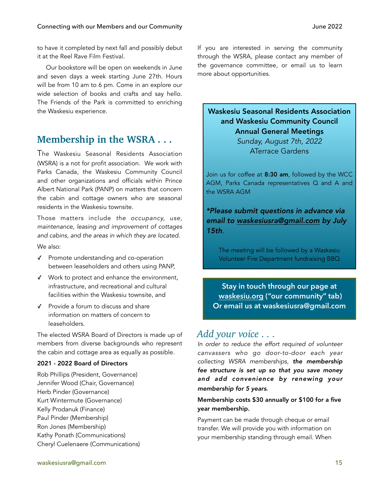to have it completed by next fall and possibly debut it at the Reel Rave Film Festival.

Our bookstore will be open on weekends in June and seven days a week starting June 27th. Hours will be from 10 am to 6 pm. Come in an explore our wide selection of books and crafts and say hello. The Friends of the Park is committed to enriching the Waskesiu experience.

### **Membership in the WSRA . . .**

The Waskesiu Seasonal Residents Association (WSRA) is a not for profit association. We work with Parks Canada, the Waskesiu Community Council and other organizations and officials within Prince Albert National Park (PANP) on matters that concern the cabin and cottage owners who are seasonal residents in the Waskesiu townsite.

Those matters include *the occupancy, use, maintenance, leasing and improvement of cottages and cabins, and the areas in which they are located.*  We also:

- ✓ Promote understanding and co-operation between leaseholders and others using PANP,
- ✓ Work to protect and enhance the environment, infrastructure, and recreational and cultural facilities within the Waskesiu townsite, and
- ✓ Provide a forum to discuss and share information on matters of concern to leaseholders.

The elected WSRA Board of Directors is made up of members from diverse backgrounds who represent the cabin and cottage area as equally as possible.

### 2021 - 2022 Board of Directors

Rob Phillips (President, Governance) Jennifer Wood (Chair, Governance) Herb Pinder (Governance) Kurt Wintermute (Governance) Kelly Prodanuk (Finance) Paul Pinder (Membership) Ron Jones (Membership) Kathy Ponath (Communications) Cheryl Cuelenaere (Communications) If you are interested in serving the community through the WSRA, please contact any member of the governance committee, or email us to learn more about opportunities.

### Waskesiu Seasonal Residents Association and Waskesiu Community Council Annual General Meetings

*Sunday, August 7th, 2022*  ATerrace Gardens

Join us for coffee at 8:30 am, followed by the WCC AGM, Parks Canada representatives Q and A and the WSRA AGM

*\*Please submit questions in advance via email to [waskesiusra@gmail.com](mailto:waskesiusra@gmail.com) by July 15th*.

The meeting will be followed by a Waskesiu Volunteer Fire Department fundraising BBQ

**Stay in touch through our page at [waskesiu.org](http://waskesiu.org) ("our community" tab) Or email us at waskesiusra@gmail.com**

### *Add your voice . . .*

*In order to reduce the effort required of volunteer canvassers who go door-to-door each year collecting WSRA memberships, the membership fee structure is set up so that you save money and add convenience by renewing your membership for 5 years.* 

### Membership costs \$30 annually or \$100 for a five year membership.

Payment can be made through cheque or email transfer. We will provide you with information on your membership standing through email. When